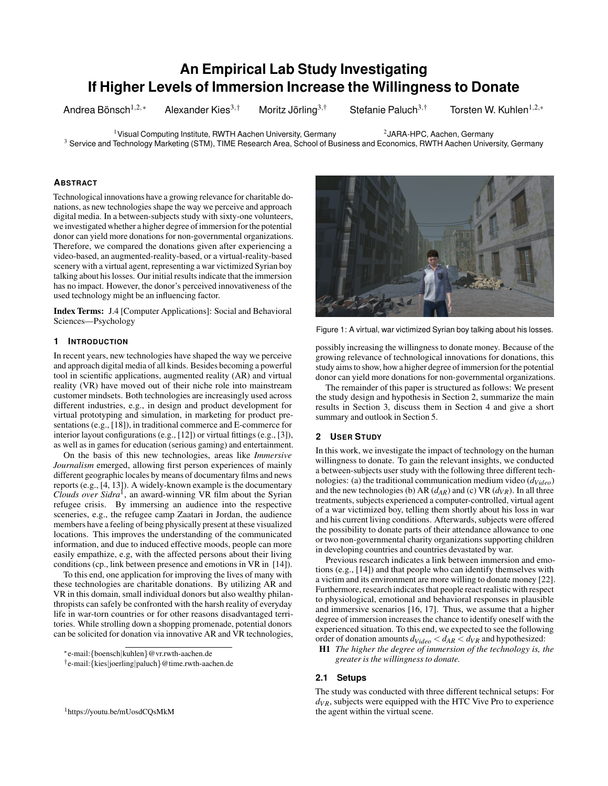# **An Empirical Lab Study Investigating If Higher Levels of Immersion Increase the Willingness to Donate**

Andrea Bönsch $1,2,*$ 

Alexander Kies<sup>3,†</sup> Moritz Jörling<sup>3,†</sup>

Stefanie Paluch<sup>3,†</sup> Torsten W. Kuhlen<sup>1,2,</sup>\*

<sup>1</sup> Visual Computing Institute, RWTH Aachen University, Germany <sup>2</sup> JARA-HPC, Aachen, Germany <sup>3</sup> Service and Technology Marketing (STM), TIME Research Area, School of Business and Economics, RWTH Aachen University, Germany

## **ABSTRACT**

Technological innovations have a growing relevance for charitable donations, as new technologies shape the way we perceive and approach digital media. In a between-subjects study with sixty-one volunteers, we investigated whether a higher degree of immersion for the potential donor can yield more donations for non-governmental organizations. Therefore, we compared the donations given after experiencing a video-based, an augmented-reality-based, or a virtual-reality-based scenery with a virtual agent, representing a war victimized Syrian boy talking about his losses. Our initial results indicate that the immersion has no impact. However, the donor's perceived innovativeness of the used technology might be an influencing factor.

Index Terms: J.4 [Computer Applications]: Social and Behavioral Sciences—Psychology

## **1 INTRODUCTION**

In recent years, new technologies have shaped the way we perceive and approach digital media of all kinds. Besides becoming a powerful tool in scientific applications, augmented reality (AR) and virtual reality (VR) have moved out of their niche role into mainstream customer mindsets. Both technologies are increasingly used across different industries, e.g., in design and product development for virtual prototyping and simulation, in marketing for product presentations (e.g., [18]), in traditional commerce and E-commerce for interior layout configurations (e.g., [12]) or virtual fittings (e.g., [3]), as well as in games for education (serious gaming) and entertainment.

On the basis of this new technologies, areas like *Immersive Journalism* emerged, allowing first person experiences of mainly different geographic locales by means of documentary films and news reports (e.g., [4, 13]). A widely-known example is the documentary *Clouds over Sidra*<sup>1</sup> , an award-winning VR film about the Syrian refugee crisis. By immersing an audience into the respective sceneries, e.g., the refugee camp Zaatari in Jordan, the audience members have a feeling of being physically present at these visualized locations. This improves the understanding of the communicated information, and due to induced effective moods, people can more easily empathize, e.g, with the affected persons about their living conditions (cp., link between presence and emotions in VR in [14]).

To this end, one application for improving the lives of many with these technologies are charitable donations. By utilizing AR and VR in this domain, small individual donors but also wealthy philanthropists can safely be confronted with the harsh reality of everyday life in war-torn countries or for other reasons disadvantaged territories. While strolling down a shopping promenade, potential donors can be solicited for donation via innovative AR and VR technologies,

<sup>†</sup> e-mail:{kies|joerling|paluch}@time.rwth-aachen.de





Figure 1: A virtual, war victimized Syrian boy talking about his losses.

possibly increasing the willingness to donate money. Because of the growing relevance of technological innovations for donations, this study aims to show, how a higher degree of immersion for the potential donor can yield more donations for non-governmental organizations.

The remainder of this paper is structured as follows: We present the study design and hypothesis in Section 2, summarize the main results in Section 3, discuss them in Section 4 and give a short summary and outlook in Section 5.

# **2 USER STUDY**

In this work, we investigate the impact of technology on the human willingness to donate. To gain the relevant insights, we conducted a between-subjects user study with the following three different technologies: (a) the traditional communication medium video (*dVideo*) and the new technologies (b) AR  $(d_{AR})$  and (c) VR  $(d_{VR})$ . In all three treatments, subjects experienced a computer-controlled, virtual agent of a war victimized boy, telling them shortly about his loss in war and his current living conditions. Afterwards, subjects were offered the possibility to donate parts of their attendance allowance to one or two non-governmental charity organizations supporting children in developing countries and countries devastated by war.

Previous research indicates a link between immersion and emotions (e.g., [14]) and that people who can identify themselves with a victim and its environment are more willing to donate money [22]. Furthermore, research indicates that people react realistic with respect to physiological, emotional and behavioral responses in plausible and immersive scenarios [16, 17]. Thus, we assume that a higher degree of immersion increases the chance to identify oneself with the experienced situation. To this end, we expected to see the following order of donation amounts  $d_{Video} < d_{AR} < d_{VR}$  and hypothesized:

H1 *The higher the degree of immersion of the technology is, the greater is the willingness to donate.*

## **2.1 Setups**

The study was conducted with three different technical setups: For  $d_{VR}$ , subjects were equipped with the HTC Vive Pro to experience the agent within the virtual scene.

<sup>∗</sup> e-mail:{boensch|kuhlen}@vr.rwth-aachen.de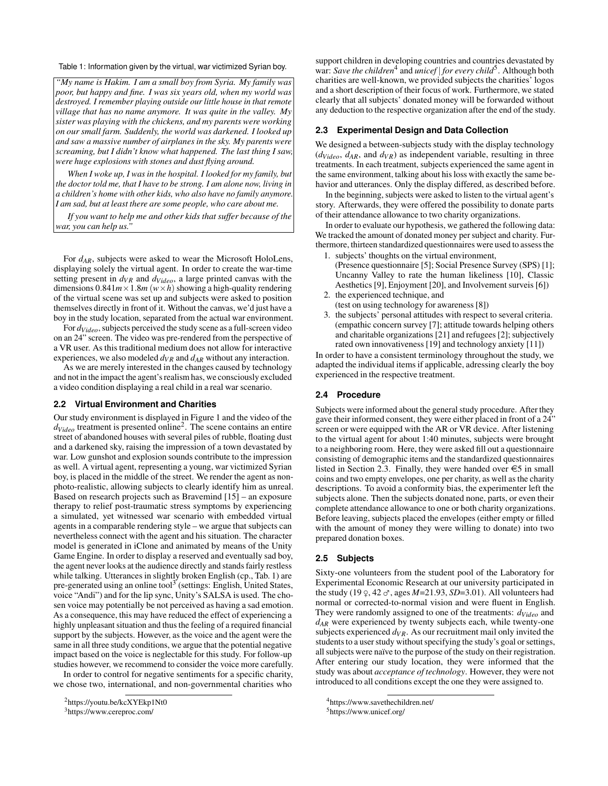Table 1: Information given by the virtual, war victimized Syrian boy.

*"My name is Hakim. I am a small boy from Syria. My family was poor, but happy and fine. I was six years old, when my world was destroyed. I remember playing outside our little house in that remote village that has no name anymore. It was quite in the valley. My sister was playing with the chickens, and my parents were working on our small farm. Suddenly, the world was darkened. I looked up and saw a massive number of airplanes in the sky. My parents were screaming, but I didn't know what happened. The last thing I saw, were huge explosions with stones and dust flying around.*

*When I woke up, I was in the hospital. I looked for my family, but the doctor told me, that I have to be strong. I am alone now, living in a children's home with other kids, who also have no family anymore. I am sad, but at least there are some people, who care about me.*

*If you want to help me and other kids that suffer because of the war, you can help us."*

For *dAR*, subjects were asked to wear the Microsoft HoloLens, displaying solely the virtual agent. In order to create the war-time setting present in  $d_{VR}$  and  $d_{Video}$ , a large printed canvas with the dimensions  $0.841m \times 1.8m$  ( $w \times h$ ) showing a high-quality rendering of the virtual scene was set up and subjects were asked to position themselves directly in front of it. Without the canvas, we'd just have a boy in the study location, separated from the actual war environment.

For *dVideo*, subjects perceived the study scene as a full-screen video on an 24" screen. The video was pre-rendered from the perspective of a VR user. As this traditional medium does not allow for interactive experiences, we also modeled  $d_{VR}$  and  $d_{AR}$  without any interaction.

As we are merely interested in the changes caused by technology and not in the impact the agent's realism has, we consciously excluded a video condition displaying a real child in a real war scenario.

# **2.2 Virtual Environment and Charities**

Our study environment is displayed in Figure 1 and the video of the *dVideo* treatment is presented online<sup>2</sup> . The scene contains an entire street of abandoned houses with several piles of rubble, floating dust and a darkened sky, raising the impression of a town devastated by war. Low gunshot and explosion sounds contribute to the impression as well. A virtual agent, representing a young, war victimized Syrian boy, is placed in the middle of the street. We render the agent as nonphoto-realistic, allowing subjects to clearly identify him as unreal. Based on research projects such as Bravemind [15] – an exposure therapy to relief post-traumatic stress symptoms by experiencing a simulated, yet witnessed war scenario with embedded virtual agents in a comparable rendering style – we argue that subjects can nevertheless connect with the agent and his situation. The character model is generated in iClone and animated by means of the Unity Game Engine. In order to display a reserved and eventually sad boy, the agent never looks at the audience directly and stands fairly restless while talking. Utterances in slightly broken English (cp., Tab. 1) are pre-generated using an online tool<sup>3</sup> (settings: English, United States, voice "Andi") and for the lip sync, Unity's SALSA is used. The chosen voice may potentially be not perceived as having a sad emotion. As a consequence, this may have reduced the effect of experiencing a highly unpleasant situation and thus the feeling of a required financial support by the subjects. However, as the voice and the agent were the same in all three study conditions, we argue that the potential negative impact based on the voice is neglectable for this study. For follow-up studies however, we recommend to consider the voice more carefully.

In order to control for negative sentiments for a specific charity, we chose two, international, and non-governmental charities who

<sup>2</sup>https://youtu.be/kcXYEkp1Nt0

<sup>3</sup>https://www.cereproc.com/

support children in developing countries and countries devastated by war: Save the children<sup>4</sup> and *unicef* | for every child<sup>5</sup>. Although both charities are well-known, we provided subjects the charities' logos and a short description of their focus of work. Furthermore, we stated clearly that all subjects' donated money will be forwarded without any deduction to the respective organization after the end of the study.

#### **2.3 Experimental Design and Data Collection**

We designed a between-subjects study with the display technology  $(d_{Video}, d_{AR}, \text{ and } d_{VR})$  as independent variable, resulting in three treatments. In each treatment, subjects experienced the same agent in the same environment, talking about his loss with exactly the same behavior and utterances. Only the display differed, as described before.

In the beginning, subjects were asked to listen to the virtual agent's story. Afterwards, they were offered the possibility to donate parts of their attendance allowance to two charity organizations.

In order to evaluate our hypothesis, we gathered the following data: We tracked the amount of donated money per subject and charity. Furthermore, thirteen standardized questionnaires were used to assess the

- 1. subjects' thoughts on the virtual environment, (Presence questionnaire [5]; Social Presence Survey (SPS) [1]; Uncanny Valley to rate the human likeliness [10], Classic Aesthetics [9], Enjoyment [20], and Involvement surveis [6])
- 2. the experienced technique, and (test on using technology for awareness [8])
- 3. the subjects' personal attitudes with respect to several criteria. (empathic concern survey [7]; attitude towards helping others and charitable organizations [21] and refugees [2]; subjectively rated own innovativeness [19] and technology anxiety [11])

In order to have a consistent terminology throughout the study, we adapted the individual items if applicable, adressing clearly the boy experienced in the respective treatment.

## **2.4 Procedure**

Subjects were informed about the general study procedure. After they gave their informed consent, they were either placed in front of a 24" screen or were equipped with the AR or VR device. After listening to the virtual agent for about 1:40 minutes, subjects were brought to a neighboring room. Here, they were asked fill out a questionnaire consisting of demographic items and the standardized questionnaires listed in Section 2.3. Finally, they were handed over  $\epsilon$ 5 in small coins and two empty envelopes, one per charity, as well as the charity descriptions. To avoid a conformity bias, the experimenter left the subjects alone. Then the subjects donated none, parts, or even their complete attendance allowance to one or both charity organizations. Before leaving, subjects placed the envelopes (either empty or filled with the amount of money they were willing to donate) into two prepared donation boxes.

## **2.5 Subjects**

Sixty-one volunteers from the student pool of the Laboratory for Experimental Economic Research at our university participated in the study (19  $\varphi$ , 42  $\sigma$ <sup>2</sup>, ages *M*=21.93, *SD*=3.01). All volunteers had normal or corrected-to-normal vision and were fluent in English. They were randomly assigned to one of the treatments: *dVideo* and *dAR* were experienced by twenty subjects each, while twenty-one subjects experienced  $d_{VR}$ . As our recruitment mail only invited the students to a user study without specifying the study's goal or settings, all subjects were naïve to the purpose of the study on their registration. After entering our study location, they were informed that the study was about *acceptance of technology*. However, they were not introduced to all conditions except the one they were assigned to.

<sup>4</sup>https://www.savethechildren.net/

<sup>5</sup>https://www.unicef.org/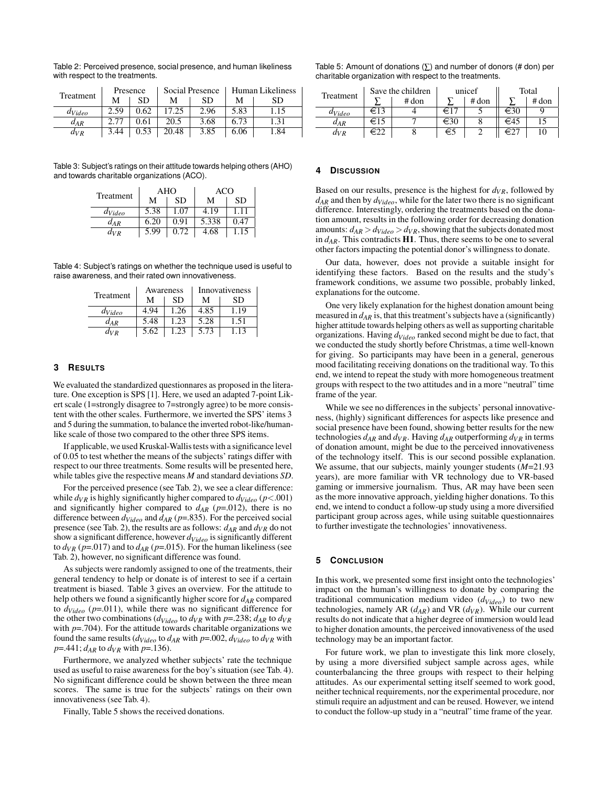| Table 2: Perceived presence, social presence, and human likeliness |  |
|--------------------------------------------------------------------|--|
| with respect to the treatments.                                    |  |

| Treatment   | Presence |      |       | Social Presence | Human Likeliness |      |  |
|-------------|----------|------|-------|-----------------|------------------|------|--|
|             | м        | SD   | М     | SD              | М                | SD   |  |
| $d_{Video}$ | 2.59     | 0.62 | 17.25 | 2.96            | 5.83             | 1.15 |  |
| $d_{AR}$    | 2.77     | 0.61 | 20.5  | 3.68            | 6.73             | 1.31 |  |
| $d_{VR}$    | 3.44     | 0.53 | 20.48 | 3.85            | 6.06             | 1.84 |  |

Table 3: Subject's ratings on their attitude towards helping others (AHO) and towards charitable organizations (ACO).

| Treatment   |      | AHO       | ACO   |           |  |
|-------------|------|-----------|-------|-----------|--|
|             | м    | <b>SD</b> | м     | <b>SD</b> |  |
| $d_{Video}$ | 5.38 | 1.07      | 4.19  | 1.11      |  |
| $d_{AR}$    | 6.20 | 0.91      | 5.338 | 0.47      |  |
| $d_{VR}$    | 5.99 | 0.72      | 4.68  | 1.15      |  |

Table 4: Subject's ratings on whether the technique used is useful to raise awareness, and their rated own innovativeness.

| Treatment   |      | Awareness | Innovativeness |      |  |
|-------------|------|-----------|----------------|------|--|
|             | м    | SD        | М              | SD   |  |
| $d_{Video}$ | 4.94 | 1.26      | 4.85           | 1.19 |  |
| $d_{AR}$    | 5.48 | 1.23      | 5.28           | 1.51 |  |
| $d_{VR}$    | 5.62 | 1.23      | 5.73           | 1.13 |  |

# **3 RESULTS**

We evaluated the standardized questionnares as proposed in the literature. One exception is SPS [1]. Here, we used an adapted 7-point Likert scale (1=strongly disagree to 7=strongly agree) to be more consistent with the other scales. Furthermore, we inverted the SPS' items 3 and 5 during the summation, to balance the inverted robot-like/humanlike scale of those two compared to the other three SPS items.

If applicable, we used Kruskal-Wallis tests with a significance level of 0.05 to test whether the means of the subjects' ratings differ with respect to our three treatments. Some results will be presented here, while tables give the respective means *M* and standard deviations *SD*.

For the perceived presence (see Tab. 2), we see a clear difference: while  $d_{VR}$  is highly significantly higher compared to  $d_{Video} (p < .001)$ and significantly higher compared to  $d_{AR}$  ( $p=0.012$ ), there is no difference between  $d_{Video}$  and  $d_{AR}$  ( $p = .835$ ). For the perceived social presence (see Tab. 2), the results are as follows:  $d_{AR}$  and  $d_{VR}$  do not show a significant difference, however *dVideo* is significantly different to  $d_{VR}$  ( $p=.017$ ) and to  $d_{AR}$  ( $p=.015$ ). For the human likeliness (see Tab. 2), however, no significant difference was found.

As subjects were randomly assigned to one of the treatments, their general tendency to help or donate is of interest to see if a certain treatment is biased. Table 3 gives an overview. For the attitude to help others we found a significantly higher score for *dAR* compared to  $d_{Video}$  ( $p=011$ ), while there was no significant difference for the other two combinations ( $d_{Video}$  to  $d_{VR}$  with  $p = .238$ ;  $d_{AR}$  to  $d_{VR}$ with  $p = .704$ ). For the attitude towards charitable organizations we found the same results ( $d_{Video}$  to  $d_{AR}$  with  $p=0.002$ ,  $d_{Video}$  to  $d_{VR}$  with  $p = 0.441$ ;  $d_{AR}$  to  $d_{VR}$  with  $p = 0.136$ .

Furthermore, we analyzed whether subjects' rate the technique used as useful to raise awareness for the boy's situation (see Tab. 4). No significant difference could be shown between the three mean scores. The same is true for the subjects' ratings on their own innovativeness (see Tab. 4).

Finally, Table 5 shows the received donations.

Table 5: Amount of donations ( $\Sigma$ ) and number of donors (# don) per charitable organization with respect to the treatments.

| Treatment                | Save the children |       | unicef |         | Total |       |
|--------------------------|-------------------|-------|--------|---------|-------|-------|
|                          |                   | # don |        | $#$ don |       | # don |
| <i>d<sub>Video</sub></i> | €13               |       | €17    |         | €30   |       |
| $a_{AR}$                 | €15               |       | €30    |         | €45   |       |
| $d_{VR}$                 |                   |       | €5     |         | €∠    |       |

#### **4 DISCUSSION**

Based on our results, presence is the highest for  $d_{VR}$ , followed by *dAR* and then by *dVideo*, while for the later two there is no significant difference. Interestingly, ordering the treatments based on the donation amount, results in the following order for decreasing donation amounts:  $d_{AR} > d_{Video} > d_{VR}$ , showing that the subjects donated most in  $d_{AR}$ . This contradicts **H1**. Thus, there seems to be one to several other factors impacting the potential donor's willingness to donate.

Our data, however, does not provide a suitable insight for identifying these factors. Based on the results and the study's framework conditions, we assume two possible, probably linked, explanations for the outcome.

One very likely explanation for the highest donation amount being measured in *dAR* is, that this treatment's subjects have a (significantly) higher attitude towards helping others as well as supporting charitable organizations. Having *dVideo* ranked second might be due to fact, that we conducted the study shortly before Christmas, a time well-known for giving. So participants may have been in a general, generous mood facilitating receiving donations on the traditional way. To this end, we intend to repeat the study with more homogeneous treatment groups with respect to the two attitudes and in a more "neutral" time frame of the year.

While we see no differences in the subjects' personal innovativeness, (highly) significant differences for aspects like presence and social presence have been found, showing better results for the new technologies  $d_{AR}$  and  $d_{VR}$ . Having  $d_{AR}$  outperforming  $d_{VR}$  in terms of donation amount, might be due to the perceived innovativeness of the technology itself. This is our second possible explanation. We assume, that our subjects, mainly younger students (*M*=21.93 years), are more familiar with VR technology due to VR-based gaming or immersive journalism. Thus, AR may have been seen as the more innovative approach, yielding higher donations. To this end, we intend to conduct a follow-up study using a more diversified participant group across ages, while using suitable questionnaires to further investigate the technologies' innovativeness.

#### **5 CONCLUSION**

In this work, we presented some first insight onto the technologies' impact on the human's willingness to donate by comparing the traditional communication medium video (*dVideo*) to two new technologies, namely AR  $(d_{AR})$  and VR  $(d_{VR})$ . While our current results do not indicate that a higher degree of immersion would lead to higher donation amounts, the perceived innovativeness of the used technology may be an important factor.

For future work, we plan to investigate this link more closely, by using a more diversified subject sample across ages, while counterbalancing the three groups with respect to their helping attitudes. As our experimental setting itself seemed to work good, neither technical requirements, nor the experimental procedure, nor stimuli require an adjustment and can be reused. However, we intend to conduct the follow-up study in a "neutral" time frame of the year.